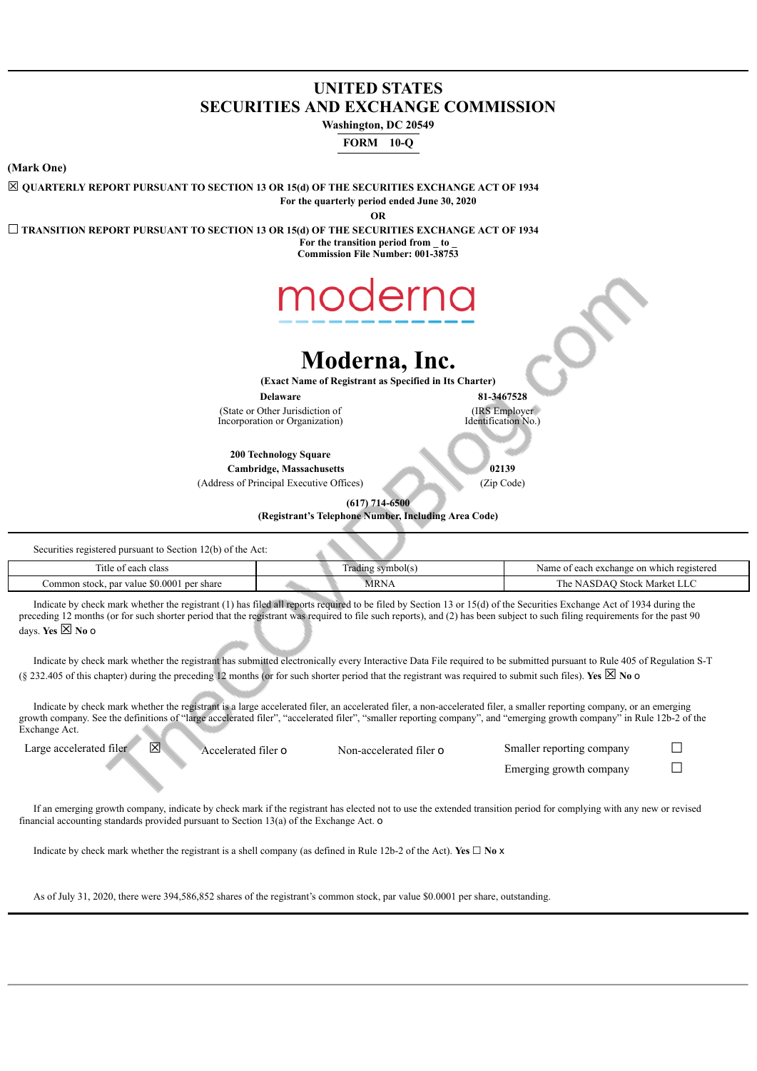## **UNITED STATES SECURITIES AND EXCHANGE COMMISSION**

**Washington, DC 20549**

**FORM 10-Q**

**(Mark One)**

☒ **QUARTERLY REPORT PURSUANT TO SECTION 13 OR 15(d) OF THE SECURITIES EXCHANGE ACT OF 1934 For the quarterly period ended June 30, 2020**

**OR**

☐ **TRANSITION REPORT PURSUANT TO SECTION 13 OR 15(d) OF THE SECURITIES EXCHANGE ACT OF 1934 For the transition period from \_ to \_**

**Commission File Number: 001-38753**



## **Moderna, Inc.**

**(Exact Name of Registrant as Specified in Its Charter)**

(State or Other Jurisdiction of Incorporation or Organization)

**Delaware 81-3467528** (IRS Employer Identification No.)

**200 Technology Square**

**Cambridge, Massachusetts 02139** (Address of Principal Executive Offices) (Zip Code)

**(617) 714-6500**

**(Registrant's Telephone Number, Including Area Code)**

Securities registered pursuant to Section 12(b) of the Act:

| —<br>ritle of<br>each class                                           | <b>COMPANY</b><br>vmbol(s<br>radını<br>. .             | on which registered<br>Name<br>i exchange<br>$\alpha$ |
|-----------------------------------------------------------------------|--------------------------------------------------------|-------------------------------------------------------|
| 80.0001<br>. par value<br>- share<br>common<br>$\ldots$ per<br>stock. | MRN<br>the contract of the contract of the contract of | <b>Stock</b><br>' Market LLC<br>. he<br>SDAU          |

Indicate by check mark whether the registrant (1) has filed all reports required to be filed by Section 13 or 15(d) of the Securities Exchange Act of 1934 during the preceding 12 months (or for such shorter period that the registrant was required to file such reports), and (2) has been subject to such filing requirements for the past 90 days. **Yes** ☒ **No** o

Indicate by check mark whether the registrant has submitted electronically every Interactive Data File required to be submitted pursuant to Rule 405 of Regulation S-T (§ 232.405 of this chapter) during the preceding 12 months (or for such shorter period that the registrant was required to submit such files). Yes  $\boxtimes$  No o

Indicate by check mark whether the registrant is a large accelerated filer, an accelerated filer, a non-accelerated filer, a smaller reporting company, or an emerging growth company. See the definitions of "large accelerated filer", "accelerated filer", "smaller reporting company", and "emerging growth company" in Rule 12b-2 of the Exchange Act.

Large accelerated filer  $\boxtimes$  Accelerated filer o Non-accelerated filer o Smaller reporting company  $\Box$ 

Emerging growth company  $\Box$ 

If an emerging growth company, indicate by check mark if the registrant has elected not to use the extended transition period for complying with any new or revised financial accounting standards provided pursuant to Section 13(a) of the Exchange Act. o

Indicate by check mark whether the registrant is a shell company (as defined in Rule 12b-2 of the Act). **Yes**  $\Box$  **No**  $\times$ 

As of July 31, 2020, there were 394,586,852 shares of the registrant's common stock, par value \$0.0001 per share, outstanding.